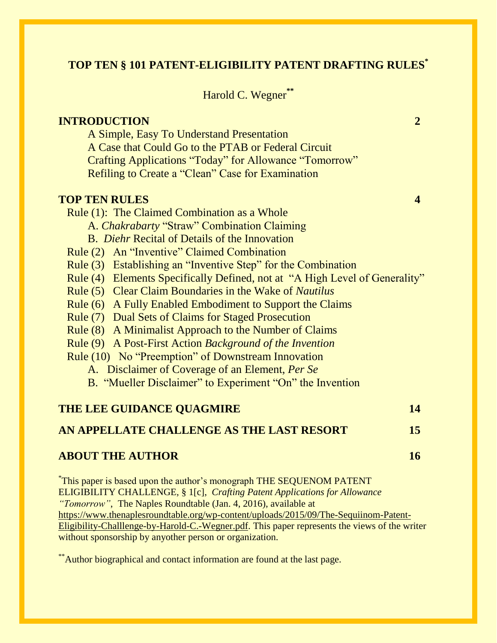# **TOP TEN § 101 PATENT-ELIGIBILITY PATENT DRAFTING RULES\***

Harold C. Wegner**\*\***

| <b>INTRODUCTION</b>                                                                                                                     | $\overline{2}$          |
|-----------------------------------------------------------------------------------------------------------------------------------------|-------------------------|
| A Simple, Easy To Understand Presentation                                                                                               |                         |
| A Case that Could Go to the PTAB or Federal Circuit                                                                                     |                         |
| Crafting Applications "Today" for Allowance "Tomorrow"                                                                                  |                         |
| Refiling to Create a "Clean" Case for Examination                                                                                       |                         |
| <b>TOP TEN RULES</b>                                                                                                                    | $\overline{\mathbf{4}}$ |
| Rule (1): The Claimed Combination as a Whole                                                                                            |                         |
| A. Chakrabarty "Straw" Combination Claiming                                                                                             |                         |
| B. <i>Diehr</i> Recital of Details of the Innovation                                                                                    |                         |
| Rule (2) An "Inventive" Claimed Combination                                                                                             |                         |
| Rule (3) Establishing an "Inventive Step" for the Combination                                                                           |                         |
| Rule (4) Elements Specifically Defined, not at "A High Level of Generality"                                                             |                         |
| Rule (5) Clear Claim Boundaries in the Wake of Nautilus                                                                                 |                         |
| Rule (6) A Fully Enabled Embodiment to Support the Claims                                                                               |                         |
| Rule (7) Dual Sets of Claims for Staged Prosecution                                                                                     |                         |
| Rule (8) A Minimalist Approach to the Number of Claims                                                                                  |                         |
| Rule (9) A Post-First Action Background of the Invention                                                                                |                         |
| Rule (10) No "Preemption" of Downstream Innovation                                                                                      |                         |
| A. Disclaimer of Coverage of an Element, Per Se                                                                                         |                         |
| B. "Mueller Disclaimer" to Experiment "On" the Invention                                                                                |                         |
| THE LEE GUIDANCE QUAGMIRE                                                                                                               | 14                      |
| AN APPELLATE CHALLENGE AS THE LAST RESORT                                                                                               | 15                      |
| <b>ABOUT THE AUTHOR</b>                                                                                                                 | 16                      |
| This paper is based upon the author's monograph THE SEQUENOM PATENT<br>$\mathbf{m}$ $\mathbf{m}$ $\mathbf{a}$ $\mathbf{r}$ $\mathbf{a}$ |                         |

ELIGIBILITY CHALLENGE*,* § 1[c], *Crafting Patent Applications for Allowance "Tomorrow"*, The Naples Roundtable (Jan. 4, 2016), available at [https://www.thenaplesroundtable.org/wp-content/uploads/2015/09/The-Sequiinom-Patent-](https://www.thenaplesroundtable.org/wp-content/uploads/2015/09/The-Sequiinom-Patent-Eligibility-Challlenge-by-Harold-C.-Wegner.pdf)[Eligibility-Challlenge-by-Harold-C.-Wegner.pdf.](https://www.thenaplesroundtable.org/wp-content/uploads/2015/09/The-Sequiinom-Patent-Eligibility-Challlenge-by-Harold-C.-Wegner.pdf) This paper represents the views of the writer without sponsorship by anyother person or organization.

\*\*Author biographical and contact information are found at the last page.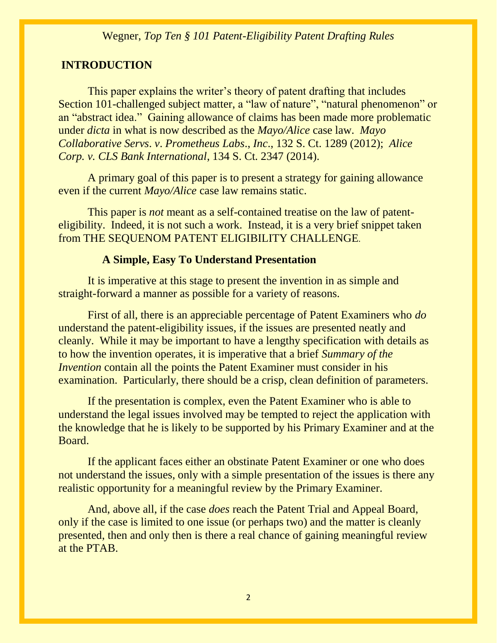# **INTRODUCTION**

This paper explains the writer's theory of patent drafting that includes Section 101-challenged subject matter, a "law of nature", "natural phenomenon" or an "abstract idea." Gaining allowance of claims has been made more problematic under *dicta* in what is now described as the *Mayo/Alice* case law. *Mayo Collaborative Servs*. *v*. *Prometheus Labs*., *Inc*., 132 S. Ct. 1289 (2012); *Alice Corp. v. CLS Bank International*, 134 S. Ct. 2347 (2014).

A primary goal of this paper is to present a strategy for gaining allowance even if the current *Mayo/Alice* case law remains static.

This paper is *not* meant as a self-contained treatise on the law of patenteligibility. Indeed, it is not such a work. Instead, it is a very brief snippet taken from THE SEQUENOM PATENT ELIGIBILITY CHALLENGE.

#### **A Simple, Easy To Understand Presentation**

It is imperative at this stage to present the invention in as simple and straight-forward a manner as possible for a variety of reasons.

First of all, there is an appreciable percentage of Patent Examiners who *do*  understand the patent-eligibility issues, if the issues are presented neatly and cleanly. While it may be important to have a lengthy specification with details as to how the invention operates, it is imperative that a brief *Summary of the Invention* contain all the points the Patent Examiner must consider in his examination. Particularly, there should be a crisp, clean definition of parameters.

If the presentation is complex, even the Patent Examiner who is able to understand the legal issues involved may be tempted to reject the application with the knowledge that he is likely to be supported by his Primary Examiner and at the Board.

If the applicant faces either an obstinate Patent Examiner or one who does not understand the issues, only with a simple presentation of the issues is there any realistic opportunity for a meaningful review by the Primary Examiner.

And, above all, if the case *does* reach the Patent Trial and Appeal Board, only if the case is limited to one issue (or perhaps two) and the matter is cleanly presented, then and only then is there a real chance of gaining meaningful review at the PTAB.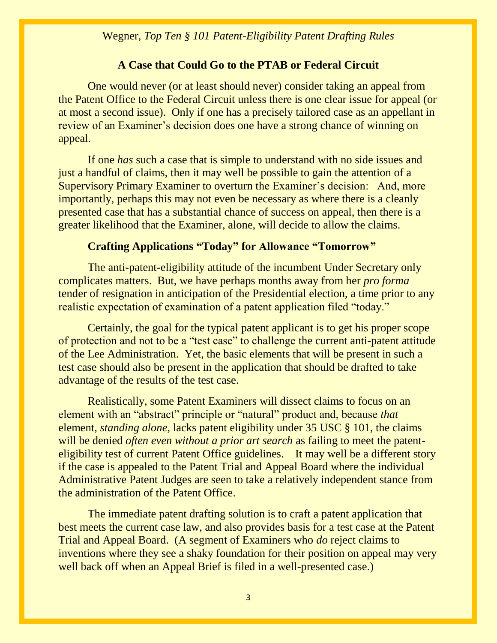#### **A Case that Could Go to the PTAB or Federal Circuit**

One would never (or at least should never) consider taking an appeal from the Patent Office to the Federal Circuit unless there is one clear issue for appeal (or at most a second issue). Only if one has a precisely tailored case as an appellant in review of an Examiner's decision does one have a strong chance of winning on appeal.

If one *has* such a case that is simple to understand with no side issues and just a handful of claims, then it may well be possible to gain the attention of a Supervisory Primary Examiner to overturn the Examiner's decision: And, more importantly, perhaps this may not even be necessary as where there is a cleanly presented case that has a substantial chance of success on appeal, then there is a greater likelihood that the Examiner, alone, will decide to allow the claims.

# **Crafting Applications "Today" for Allowance "Tomorrow"**

The anti-patent-eligibility attitude of the incumbent Under Secretary only complicates matters. But, we have perhaps months away from her *pro forma*  tender of resignation in anticipation of the Presidential election, a time prior to any realistic expectation of examination of a patent application filed "today."

Certainly, the goal for the typical patent applicant is to get his proper scope of protection and not to be a "test case" to challenge the current anti-patent attitude of the Lee Administration. Yet, the basic elements that will be present in such a test case should also be present in the application that should be drafted to take advantage of the results of the test case.

Realistically, some Patent Examiners will dissect claims to focus on an element with an "abstract" principle or "natural" product and, because *that*  element, *standing alone,* lacks patent eligibility under 35 USC § 101, the claims will be denied *often even without a prior art search* as failing to meet the patenteligibility test of current Patent Office guidelines. It may well be a different story if the case is appealed to the Patent Trial and Appeal Board where the individual Administrative Patent Judges are seen to take a relatively independent stance from the administration of the Patent Office.

The immediate patent drafting solution is to craft a patent application that best meets the current case law, and also provides basis for a test case at the Patent Trial and Appeal Board. (A segment of Examiners who *do* reject claims to inventions where they see a shaky foundation for their position on appeal may very well back off when an Appeal Brief is filed in a well-presented case.)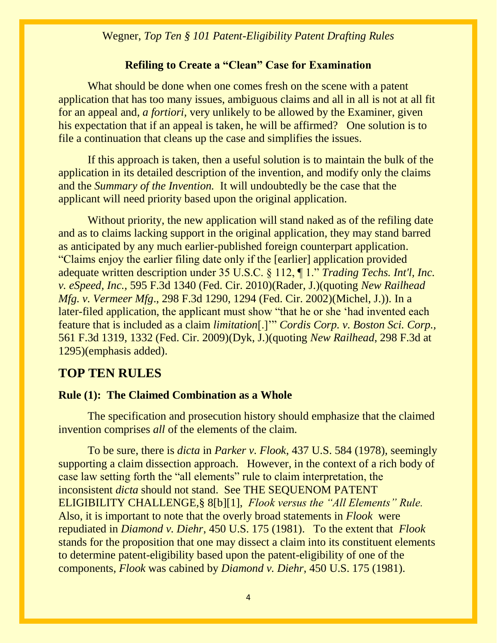# **Refiling to Create a "Clean" Case for Examination**

What should be done when one comes fresh on the scene with a patent application that has too many issues, ambiguous claims and all in all is not at all fit for an appeal and, *a fortiori,* very unlikely to be allowed by the Examiner, given his expectation that if an appeal is taken, he will be affirmed? One solution is to file a continuation that cleans up the case and simplifies the issues.

If this approach is taken, then a useful solution is to maintain the bulk of the application in its detailed description of the invention, and modify only the claims and the *Summary of the Invention.* It will undoubtedly be the case that the applicant will need priority based upon the original application.

Without priority, the new application will stand naked as of the refiling date and as to claims lacking support in the original application, they may stand barred as anticipated by any much earlier-published foreign counterpart application. "Claims enjoy the earlier filing date only if the [earlier] application provided adequate written description under 35 U.S.C. § 112, ¶ 1." *Trading Techs. Int'l, Inc. v. eSpeed, Inc.,* 595 F.3d 1340 (Fed. Cir. 2010)(Rader, J.)(quoting *New Railhead Mfg. v. Vermeer Mfg*., 298 F.3d 1290, 1294 (Fed. Cir. 2002)(Michel, J.)). In a later-filed application, the applicant must show "that he or she 'had invented each feature that is included as a claim *limitation*[.]'" *Cordis Corp. v. Boston Sci. Corp.,* 561 F.3d 1319, 1332 (Fed. Cir. 2009)(Dyk, J.)(quoting *New Railhead*, 298 F.3d at 1295)(emphasis added).

# **TOP TEN RULES**

# **Rule (1): The Claimed Combination as a Whole**

The specification and prosecution history should emphasize that the claimed invention comprises *all* of the elements of the claim.

To be sure, there is *dicta* in *Parker v. Flook*, 437 U.S. 584 (1978), seemingly supporting a claim dissection approach. However, in the context of a rich body of case law setting forth the "all elements" rule to claim interpretation, the inconsistent *dicta* should not stand. See THE SEQUENOM PATENT ELIGIBILITY CHALLENGE*,*§ 8[b][1], *Flook versus the "All Elements" Rule.*  Also, it is important to note that the overly broad statements in *Flook* were repudiated in *Diamond v. Diehr*, 450 U.S. 175 (1981). To the extent that *Flook*  stands for the proposition that one may dissect a claim into its constituent elements to determine patent-eligibility based upon the patent-eligibility of one of the components, *Flook* was cabined by *Diamond v. Diehr*, 450 U.S. 175 (1981).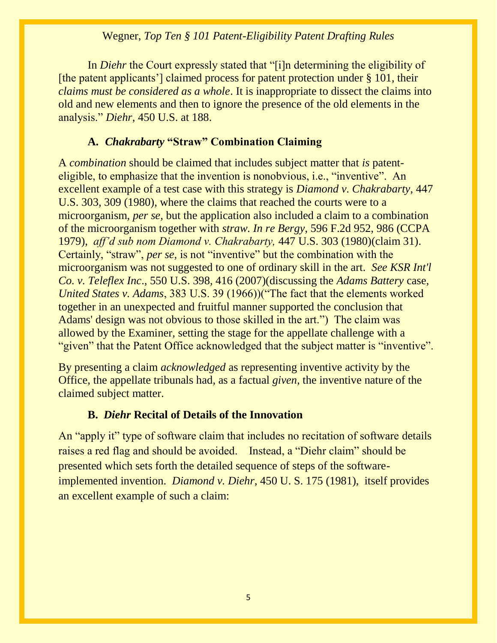In *Diehr* the Court expressly stated that "[i]n determining the eligibility of [the patent applicants'] claimed process for patent protection under § 101, their *claims must be considered as a whole*. It is inappropriate to dissect the claims into old and new elements and then to ignore the presence of the old elements in the analysis." *Diehr*, 450 U.S. at 188.

# **A.** *Chakrabarty* **"Straw" Combination Claiming**

A *combination* should be claimed that includes subject matter that *is* patenteligible, to emphasize that the invention is nonobvious, i.e., "inventive". An excellent example of a test case with this strategy is *Diamond v. Chakrabarty*, 447 U.S. 303, 309 (1980), where the claims that reached the courts were to a microorganism, *per se,* but the application also included a claim to a combination of the microorganism together with *straw. In re Bergy*, 596 F.2d 952, 986 (CCPA 1979), *aff'd sub nom Diamond v. Chakrabarty,* 447 U.S. 303 (1980)(claim 31). Certainly, "straw", *per se,* is not "inventive" but the combination with the microorganism was not suggested to one of ordinary skill in the art. *See KSR Int'l Co. v. Teleflex Inc*., 550 U.S. 398, 416 (2007)(discussing the *Adams Battery* case, *United States v. Adams*, 383 U.S. 39 (1966))("The fact that the elements worked together in an unexpected and fruitful manner supported the conclusion that Adams' design was not obvious to those skilled in the art.") The claim was allowed by the Examiner, setting the stage for the appellate challenge with a "given" that the Patent Office acknowledged that the subject matter is "inventive".

By presenting a claim *acknowledged* as representing inventive activity by the Office, the appellate tribunals had, as a factual *given,* the inventive nature of the claimed subject matter.

# **B.** *Diehr* **Recital of Details of the Innovation**

An "apply it" type of software claim that includes no recitation of software details raises a red flag and should be avoided. Instead, a "Diehr claim" should be presented which sets forth the detailed sequence of steps of the softwareimplemented invention. *Diamond v. Diehr*, 450 U. S. 175 (1981), itself provides an excellent example of such a claim: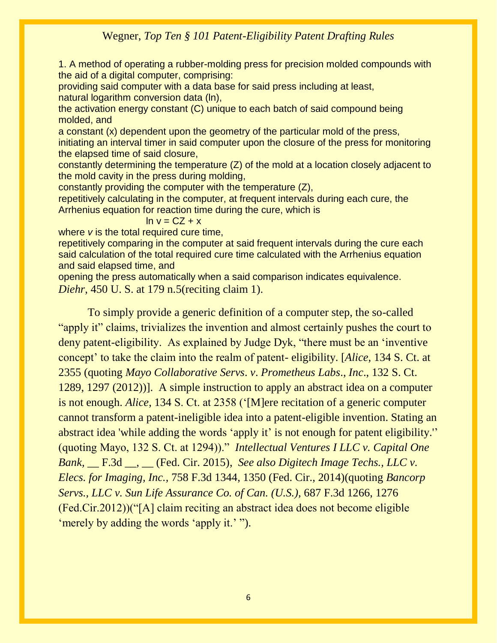1. A method of operating a rubber-molding press for precision molded compounds with the aid of a digital computer, comprising:

providing said computer with a data base for said press including at least, natural logarithm conversion data (ln),

the activation energy constant (C) unique to each batch of said compound being molded, and

a constant (x) dependent upon the geometry of the particular mold of the press, initiating an interval timer in said computer upon the closure of the press for monitoring the elapsed time of said closure,

constantly determining the temperature (Z) of the mold at a location closely adjacent to the mold cavity in the press during molding,

constantly providing the computer with the temperature (Z),

repetitively calculating in the computer, at frequent intervals during each cure, the Arrhenius equation for reaction time during the cure, which is

#### $\ln v = CZ + x$

where *v* is the total required cure time,

repetitively comparing in the computer at said frequent intervals during the cure each said calculation of the total required cure time calculated with the Arrhenius equation and said elapsed time, and

opening the press automatically when a said comparison indicates equivalence. *Diehr*, 450 U. S. at 179 n.5(reciting claim 1).

To simply provide a generic definition of a computer step, the so-called "apply it" claims, trivializes the invention and almost certainly pushes the court to deny patent-eligibility. As explained by Judge Dyk, "there must be an 'inventive concept' to take the claim into the realm of patent- eligibility. [*Alice*, 134 S. Ct. at 2355 (quoting *Mayo Collaborative Servs*. *v*. *Prometheus Labs*., *Inc*., 132 S. Ct. 1289, 1297 (2012))]. A simple instruction to apply an abstract idea on a computer is not enough. *Alice*, 134 S. Ct. at 2358 ('[M]ere recitation of a generic computer cannot transform a patent-ineligible idea into a patent-eligible invention. Stating an abstract idea 'while adding the words 'apply it' is not enough for patent eligibility.'' (quoting Mayo, 132 S. Ct. at 1294))." *Intellectual Ventures I LLC v. Capital One Bank,* \_\_ F.3d \_\_, \_\_ (Fed. Cir. 2015), *See also Digitech Image Techs., LLC v. Elecs. for Imaging, Inc.,* 758 F.3d 1344, 1350 (Fed. Cir., 2014)(quoting *Bancorp Servs., LLC v. Sun Life Assurance Co. of Can. (U.S.),* 687 F.3d 1266, 1276 (Fed.Cir.2012))("[A] claim reciting an abstract idea does not become eligible 'merely by adding the words 'apply it.' ").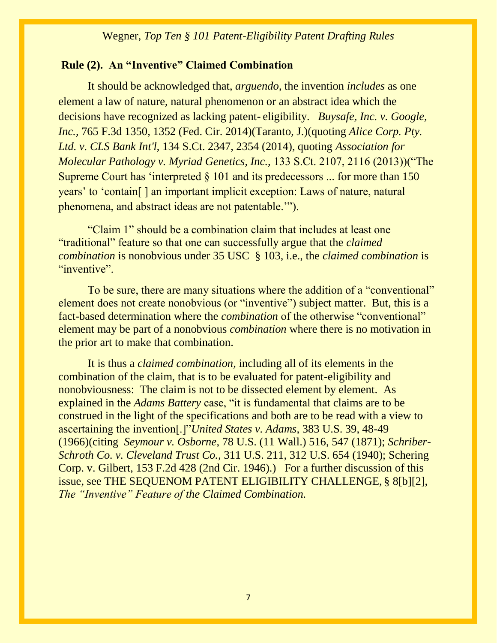#### **Rule (2). An "Inventive" Claimed Combination**

It should be acknowledged that, *arguendo,* the invention *includes* as one element a law of nature, natural phenomenon or an abstract idea which the decisions have recognized as lacking patent- eligibility. *Buysafe, Inc. v. Google, Inc.,* 765 F.3d 1350, 1352 (Fed. Cir. 2014)(Taranto, J.)(quoting *Alice Corp. Pty. Ltd. v. CLS Bank Int'l*, 134 S.Ct. 2347, 2354 (2014), quoting *Association for Molecular Pathology v. Myriad Genetics, Inc.,* 133 S.Ct. 2107, 2116 (2013))("The Supreme Court has 'interpreted § 101 and its predecessors ... for more than 150 years' to 'contain[ ] an important implicit exception: Laws of nature, natural phenomena, and abstract ideas are not patentable.'").

"Claim 1" should be a combination claim that includes at least one "traditional" feature so that one can successfully argue that the *claimed combination* is nonobvious under 35 USC § 103, i.e., the *claimed combination* is "inventive".

To be sure, there are many situations where the addition of a "conventional" element does not create nonobvious (or "inventive") subject matter. But, this is a fact-based determination where the *combination* of the otherwise "conventional" element may be part of a nonobvious *combination* where there is no motivation in the prior art to make that combination.

It is thus a *claimed combination,* including all of its elements in the combination of the claim, that is to be evaluated for patent-eligibility and nonobviousness: The claim is not to be dissected element by element.As explained in the *Adams Battery* case, "it is fundamental that claims are to be construed in the light of the specifications and both are to be read with a view to ascertaining the invention[.]"*United States v. Adams*, 383 U.S. 39, 48-49 (1966)(citing *Seymour v. Osborne*, 78 U.S. (11 Wall.) 516, 547 (1871); *Schriber-Schroth Co. v. Cleveland Trust Co.,* 311 U.S. 211, 312 U.S. 654 (1940); Schering Corp. v. Gilbert, 153 F.2d 428 (2nd Cir. 1946).) For a further discussion of this issue, see THE SEQUENOM PATENT ELIGIBILITY CHALLENGE*,* § 8[b][2], *The "Inventive" Feature of the Claimed Combination.*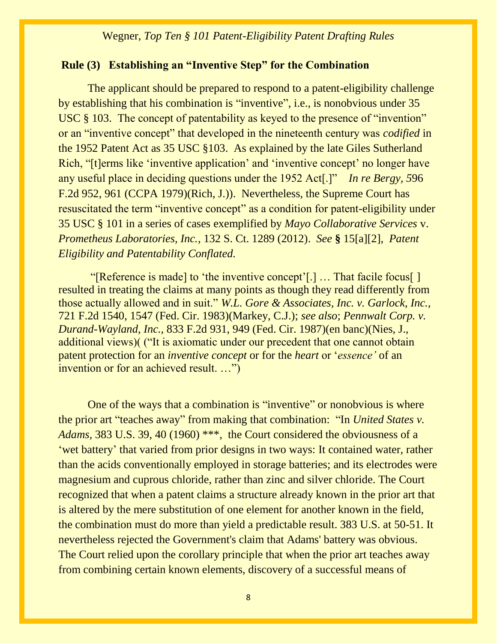# **Rule (3) Establishing an "Inventive Step" for the Combination**

The applicant should be prepared to respond to a patent-eligibility challenge by establishing that his combination is "inventive", i.e., is nonobvious under 35 USC § 103. The concept of patentability as keyed to the presence of "invention" or an "inventive concept" that developed in the nineteenth century was *codified* in the 1952 Patent Act as 35 USC §103. As explained by the late Giles Sutherland Rich, "[t]erms like 'inventive application' and 'inventive concept' no longer have any useful place in deciding questions under the 1952 Act[.]" *[In re Bergy, 5](https://apps.fastcase.com/CaseLawPortal/Pages/Secure/Document.aspx?LTID=Tp1F6NGi5ueY8je2ZyI2ZeVPIy%2fHuWOP12VbC%2bFiIEA3MDcscWO19MXzuzIl%2bDZuy2LgY3spBfKZkIHWuEa6Ak%2bP4It3B6n7W26%2f6Y4gSEUdMghRL0B0NOJlIC8ENnm6fbxXNMwmzry23%2fmaBZAfw9gKpVz5Rz%2bNSW3tHZtzLaA%3d&ECF=In+re+Bergy+%2c+596+F.2d+952)*96 [F.2d 952,](https://apps.fastcase.com/CaseLawPortal/Pages/Secure/Document.aspx?LTID=Tp1F6NGi5ueY8je2ZyI2ZeVPIy%2fHuWOP12VbC%2bFiIEA3MDcscWO19MXzuzIl%2bDZuy2LgY3spBfKZkIHWuEa6Ak%2bP4It3B6n7W26%2f6Y4gSEUdMghRL0B0NOJlIC8ENnm6fbxXNMwmzry23%2fmaBZAfw9gKpVz5Rz%2bNSW3tHZtzLaA%3d&ECF=In+re+Bergy+%2c+596+F.2d+952) 961 (CCPA 1979)(Rich, J.)). Nevertheless, the Supreme Court has resuscitated the term "inventive concept" as a condition for patent-eligibility under 35 USC § 101 in a series of cases exemplified by *Mayo Collaborative Services* v. *Prometheus Laboratories, Inc.*, 132 S. Ct. 1289 (2012). *See* **§** 15[a][2],*Patent Eligibility and Patentability Conflated.*

"[Reference is made] to 'the inventive concept'[.] … That facile focus[ ] resulted in treating the claims at many points as though they read differently from those actually allowed and in suit." *W.L. Gore & Associates, Inc. v. Garlock, Inc.,* 721 F.2d 1540, 1547 (Fed. Cir. 1983)(Markey, C.J.); *see also*; *Pennwalt Corp. v. Durand-Wayland, Inc.,* 833 F.2d 931, 949 (Fed. Cir. 1987)(en banc)(Nies, J., additional views)( ("It is axiomatic under our precedent that one cannot obtain patent protection for an *inventive concept* or for the *heart* or '*essence'* of an invention or for an achieved result. …")

One of the ways that a combination is "inventive" or nonobvious is where the prior art "teaches away" from making that combination: "In *United States v. Adams,* 383 U.S. 39, 40 (1960) \*\*\*, the Court considered the obviousness of a 'wet battery' that varied from prior designs in two ways: It contained water, rather than the acids conventionally employed in storage batteries; and its electrodes were magnesium and cuprous chloride, rather than zinc and silver chloride. The Court recognized that when a patent claims a structure already known in the prior art that is altered by the mere substitution of one element for another known in the field, the combination must do more than yield a predictable result. 383 U.S. at 50-51. It nevertheless rejected the Government's claim that Adams' battery was obvious. The Court relied upon the corollary principle that when the prior art teaches away from combining certain known elements, discovery of a successful means of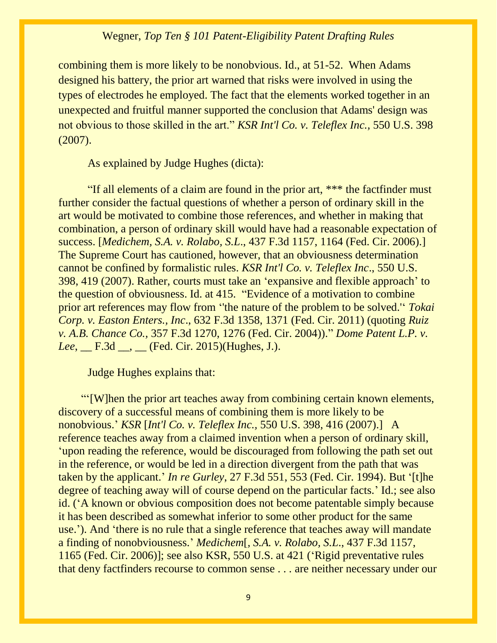combining them is more likely to be nonobvious. Id., at 51-52. When Adams designed his battery, the prior art warned that risks were involved in using the types of electrodes he employed. The fact that the elements worked together in an unexpected and fruitful manner supported the conclusion that Adams' design was not obvious to those skilled in the art." *KSR Int'l Co. v. Teleflex Inc.,* 550 U.S. 398 (2007).

As explained by Judge Hughes (dicta):

"If all elements of a claim are found in the prior art, \*\*\* the factfinder must further consider the factual questions of whether a person of ordinary skill in the art would be motivated to combine those references, and whether in making that combination, a person of ordinary skill would have had a reasonable expectation of success. [*Medichem, S.A. v. Rolabo, S.L*., 437 F.3d 1157, 1164 (Fed. Cir. 2006).] The Supreme Court has cautioned, however, that an obviousness determination cannot be confined by formalistic rules. *KSR Int'l Co. v. Teleflex Inc*., 550 U.S. 398, 419 (2007). Rather, courts must take an 'expansive and flexible approach' to the question of obviousness. Id. at 415. "Evidence of a motivation to combine prior art references may flow from ''the nature of the problem to be solved.'' *Tokai Corp. v. Easton Enters., Inc*., 632 F.3d 1358, 1371 (Fed. Cir. 2011) (quoting *Ruiz v. A.B. Chance Co.,* 357 F.3d 1270, 1276 (Fed. Cir. 2004))." *Dome Patent L.P. v. Lee*, <u>\_\_\_ F.3d</u> \_\_, \_\_\_ (Fed. Cir. 2015)(Hughes, J.).

Judge Hughes explains that:

 "'[W]hen the prior art teaches away from combining certain known elements, discovery of a successful means of combining them is more likely to be nonobvious.' *KSR* [*Int'l Co. v. Teleflex Inc.,* 550 U.S. 398, 416 (2007).] A reference teaches away from a claimed invention when a person of ordinary skill, 'upon reading the reference, would be discouraged from following the path set out in the reference, or would be led in a direction divergent from the path that was taken by the applicant.' *In re Gurley*, 27 F.3d 551, 553 (Fed. Cir. 1994). But '[t]he degree of teaching away will of course depend on the particular facts.' Id.; see also id. ('A known or obvious composition does not become patentable simply because it has been described as somewhat inferior to some other product for the same use.'). And 'there is no rule that a single reference that teaches away will mandate a finding of nonobviousness.' *Medichem*[*, S.A. v. Rolabo, S.L*., 437 F.3d 1157, 1165 (Fed. Cir. 2006)]; see also KSR, 550 U.S. at 421 ('Rigid preventative rules that deny factfinders recourse to common sense . . . are neither necessary under our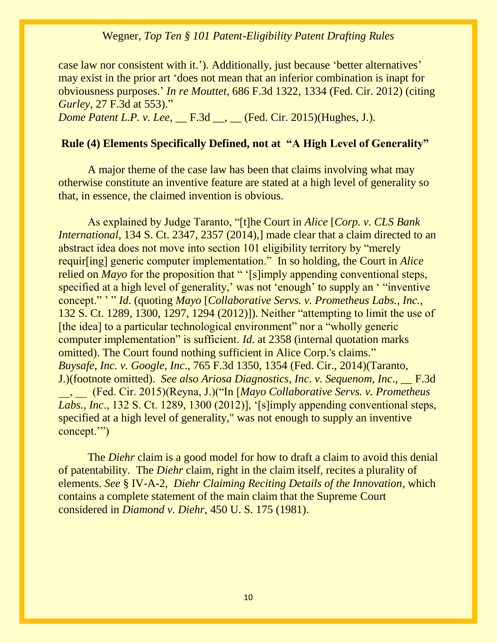case law nor consistent with it.'). Additionally, just because 'better alternatives' may exist in the prior art 'does not mean that an inferior combination is inapt for obviousness purposes.' *In re Mouttet*, 686 F.3d 1322, 1334 (Fed. Cir. 2012) (citing *Gurley*, 27 F.3d at 553)." *Dome Patent L.P. v. Lee*, <u>\_\_\_ F.3d \_\_, \_\_</u> (Fed. Cir. 2015)(Hughes, J.).

# **Rule (4) Elements Specifically Defined, not at "A High Level of Generality"**

A major theme of the case law has been that claims involving what may otherwise constitute an inventive feature are stated at a high level of generality so that, in essence, the claimed invention is obvious.

As explained by Judge Taranto, "[t]he Court in *Alice* [*Corp. v. CLS Bank International*, 134 S. Ct. 2347, 2357 (2014), made clear that a claim directed to an abstract idea does not move into section 101 eligibility territory by "merely requir[ing] generic computer implementation." In so holding, the Court in *Alice* relied on *Mayo* for the proposition that " '[s]imply appending conventional steps, specified at a high level of generality,' was not 'enough' to supply an ' "inventive concept." ' " *Id.* (quoting *Mayo* [*Collaborative Servs. v. Prometheus Labs., Inc.,* 132 S. Ct. 1289, 1300, 1297, 1294 (2012)]). Neither "attempting to limit the use of [the idea] to a particular technological environment" nor a "wholly generic computer implementation" is sufficient. *Id.* at 2358 (internal quotation marks omitted). The Court found nothing sufficient in Alice Corp.'s claims." *Buysafe, Inc. v. Google, Inc*., 765 F.3d 1350, 1354 (Fed. Cir., 2014)(Taranto, J.)(footnote omitted). *See also Ariosa Diagnostics, Inc. v. Sequenom, Inc*., \_\_ F.3d \_\_, \_\_ (Fed. Cir. 2015)(Reyna, J.)("In [*Mayo Collaborative Servs. v. Prometheus Labs., Inc*., 132 S. Ct. 1289, 1300 (2012)], '[s]imply appending conventional steps, specified at a high level of generality," was not enough to supply an inventive concept.'")

The *Diehr* claim is a good model for how to draft a claim to avoid this denial of patentability. The *Diehr* claim, right in the claim itself, recites a plurality of elements. *See* § IV-A-2,*Diehr Claiming Reciting Details of the Innovation,* which contains a complete statement of the main claim that the Supreme Court considered in *Diamond v. Diehr*, 450 U. S. 175 (1981).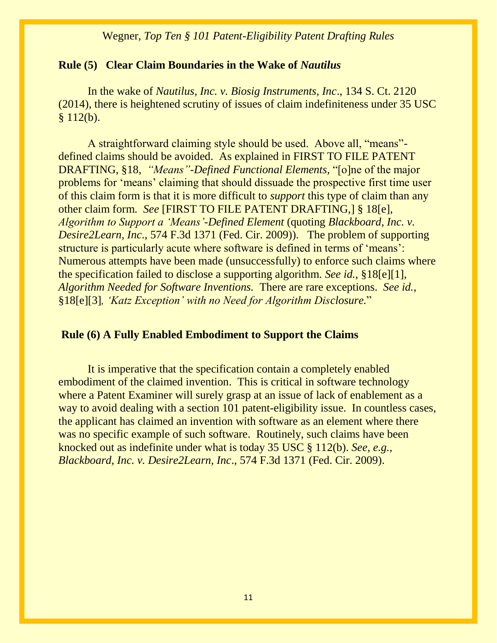#### **Rule (5) Clear Claim Boundaries in the Wake of** *Nautilus*

In the wake of *Nautilus, Inc. v. Biosig Instruments, Inc*., 134 S. Ct. 2120 (2014), there is heightened scrutiny of issues of claim indefiniteness under 35 USC  $§ 112(b).$ 

A straightforward claiming style should be used. Above all, "means" defined claims should be avoided. As explained in FIRST TO FILE PATENT DRAFTING, §18, *"Means"-Defined Functional Elements,* "[o]ne of the major problems for 'means' claiming that should dissuade the prospective first time user of this claim form is that it is more difficult to *support* this type of claim than any other claim form. *See* [FIRST TO FILE PATENT DRAFTING,] § 18[e], *Algorithm to Support a 'Means'-Defined Element* (quoting *Blackboard, Inc. v. Desire2Learn, Inc*., 574 F.3d 1371 (Fed. Cir. 2009)). The problem of supporting structure is particularly acute where software is defined in terms of 'means': Numerous attempts have been made (unsuccessfully) to enforce such claims where the specification failed to disclose a supporting algorithm. *See id.,* §18[e][1], *Algorithm Needed for Software Inventions.* There are rare exceptions. *See id.,*  §18[e][3]*, 'Katz Exception' with no Need for Algorithm Disclosure.*"

#### **Rule (6) A Fully Enabled Embodiment to Support the Claims**

It is imperative that the specification contain a completely enabled embodiment of the claimed invention. This is critical in software technology where a Patent Examiner will surely grasp at an issue of lack of enablement as a way to avoid dealing with a section 101 patent-eligibility issue. In countless cases, the applicant has claimed an invention with software as an element where there was no specific example of such software. Routinely, such claims have been knocked out as indefinite under what is today 35 USC § 112(b). *See, e.g., Blackboard, Inc. v. Desire2Learn, Inc*., 574 F.3d 1371 (Fed. Cir. 2009).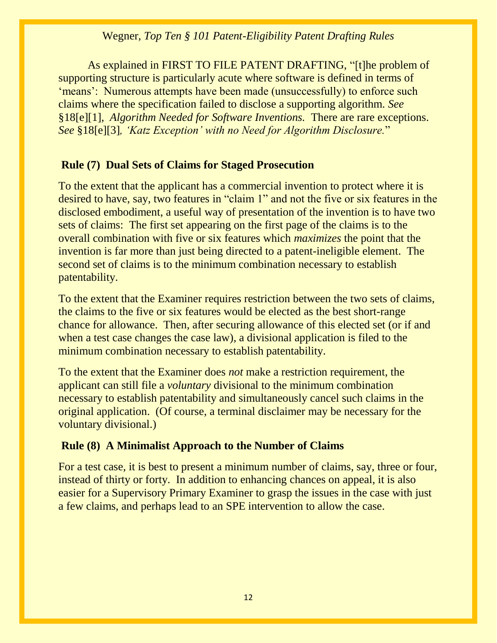As explained in FIRST TO FILE PATENT DRAFTING, "[t]he problem of supporting structure is particularly acute where software is defined in terms of 'means': Numerous attempts have been made (unsuccessfully) to enforce such claims where the specification failed to disclose a supporting algorithm. *See*  §18[e][1], *Algorithm Needed for Software Inventions.* There are rare exceptions. *See* §18[e][3]*, 'Katz Exception' with no Need for Algorithm Disclosure.*"

# **Rule (7) Dual Sets of Claims for Staged Prosecution**

To the extent that the applicant has a commercial invention to protect where it is desired to have, say, two features in "claim 1" and not the five or six features in the disclosed embodiment, a useful way of presentation of the invention is to have two sets of claims: The first set appearing on the first page of the claims is to the overall combination with five or six features which *maximizes* the point that the invention is far more than just being directed to a patent-ineligible element. The second set of claims is to the minimum combination necessary to establish patentability.

To the extent that the Examiner requires restriction between the two sets of claims, the claims to the five or six features would be elected as the best short-range chance for allowance. Then, after securing allowance of this elected set (or if and when a test case changes the case law), a divisional application is filed to the minimum combination necessary to establish patentability.

To the extent that the Examiner does *not* make a restriction requirement, the applicant can still file a *voluntary* divisional to the minimum combination necessary to establish patentability and simultaneously cancel such claims in the original application. (Of course, a terminal disclaimer may be necessary for the voluntary divisional.)

# **Rule (8) A Minimalist Approach to the Number of Claims**

For a test case, it is best to present a minimum number of claims, say, three or four, instead of thirty or forty. In addition to enhancing chances on appeal, it is also easier for a Supervisory Primary Examiner to grasp the issues in the case with just a few claims, and perhaps lead to an SPE intervention to allow the case.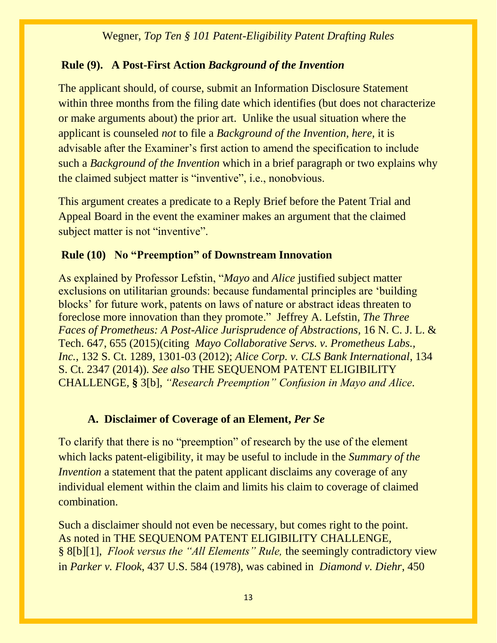# **Rule (9). A Post-First Action** *Background of the Invention*

The applicant should, of course, submit an Information Disclosure Statement within three months from the filing date which identifies (but does not characterize or make arguments about) the prior art. Unlike the usual situation where the applicant is counseled *not* to file a *Background of the Invention, here,* it is advisable after the Examiner's first action to amend the specification to include such a *Background of the Invention* which in a brief paragraph or two explains why the claimed subject matter is "inventive", i.e., nonobvious.

This argument creates a predicate to a Reply Brief before the Patent Trial and Appeal Board in the event the examiner makes an argument that the claimed subject matter is not "inventive".

# **Rule (10) No "Preemption" of Downstream Innovation**

As explained by Professor Lefstin, "*Mayo* and *Alice* justified subject matter exclusions on utilitarian grounds: because fundamental principles are 'building blocks' for future work, patents on laws of nature or abstract ideas threaten to foreclose more innovation than they promote." Jeffrey A. Lefstin*, The Three Faces of Prometheus: A Post-Alice Jurisprudence of Abstractions,* 16 N. C. J. L. & Tech. 647, 655 (2015)(citing *Mayo Collaborative Servs. v. Prometheus Labs., Inc.,* 132 S. Ct. 1289, 1301-03 (2012); *Alice Corp. v. CLS Bank International*, 134 S. Ct. 2347 (2014))*. See also* THE SEQUENOM PATENT ELIGIBILITY CHALLENGE*,* **§** 3[b], *"Research Preemption" Confusion in Mayo and Alice.*

# **A. Disclaimer of Coverage of an Element,** *Per Se*

To clarify that there is no "preemption" of research by the use of the element which lacks patent-eligibility, it may be useful to include in the *Summary of the Invention* a statement that the patent applicant disclaims any coverage of any individual element within the claim and limits his claim to coverage of claimed combination.

Such a disclaimer should not even be necessary, but comes right to the point. As noted in THE SEQUENOM PATENT ELIGIBILITY CHALLENGE*,* § 8[b][1], *Flook versus the "All Elements" Rule,* the seemingly contradictory view in *Parker v. Flook*, 437 U.S. 584 (1978), was cabined in *Diamond v. Diehr*, 450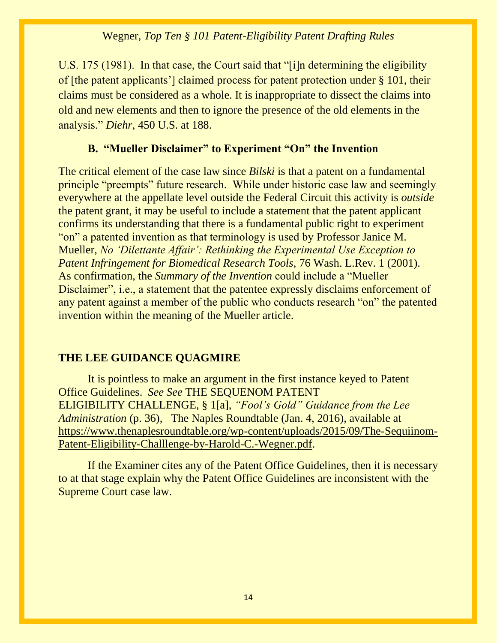U.S. 175 (1981). In that case, the Court said that "[i]n determining the eligibility of [the patent applicants'] claimed process for patent protection under § 101, their claims must be considered as a whole. It is inappropriate to dissect the claims into old and new elements and then to ignore the presence of the old elements in the analysis." *Diehr*, 450 U.S. at 188.

# **B. "Mueller Disclaimer" to Experiment "On" the Invention**

The critical element of the case law since *Bilski* is that a patent on a fundamental principle "preempts" future research. While under historic case law and seemingly everywhere at the appellate level outside the Federal Circuit this activity is *outside*  the patent grant, it may be useful to include a statement that the patent applicant confirms its understanding that there is a fundamental public right to experiment "on" a patented invention as that terminology is used by Professor Janice M. Mueller, *No 'Dilettante Affair': Rethinking the Experimental Use Exception to Patent Infringement for Biomedical Research Tools,* 76 Wash. L.Rev. 1 (2001). As confirmation, the *Summary of the Invention* could include a "Mueller Disclaimer", i.e., a statement that the patentee expressly disclaims enforcement of any patent against a member of the public who conducts research "on" the patented invention within the meaning of the Mueller article.

# **THE LEE GUIDANCE QUAGMIRE**

It is pointless to make an argument in the first instance keyed to Patent Office Guidelines. *See See* THE SEQUENOM PATENT ELIGIBILITY CHALLENGE*,* § 1[a], *"Fool's Gold" Guidance from the Lee Administration* (p. 36), The Naples Roundtable (Jan. 4, 2016), available at [https://www.thenaplesroundtable.org/wp-content/uploads/2015/09/The-Sequiinom-](https://www.thenaplesroundtable.org/wp-content/uploads/2015/09/The-Sequiinom-Patent-Eligibility-Challlenge-by-Harold-C.-Wegner.pdf)[Patent-Eligibility-Challlenge-by-Harold-C.-Wegner.pdf.](https://www.thenaplesroundtable.org/wp-content/uploads/2015/09/The-Sequiinom-Patent-Eligibility-Challlenge-by-Harold-C.-Wegner.pdf)

If the Examiner cites any of the Patent Office Guidelines, then it is necessary to at that stage explain why the Patent Office Guidelines are inconsistent with the Supreme Court case law.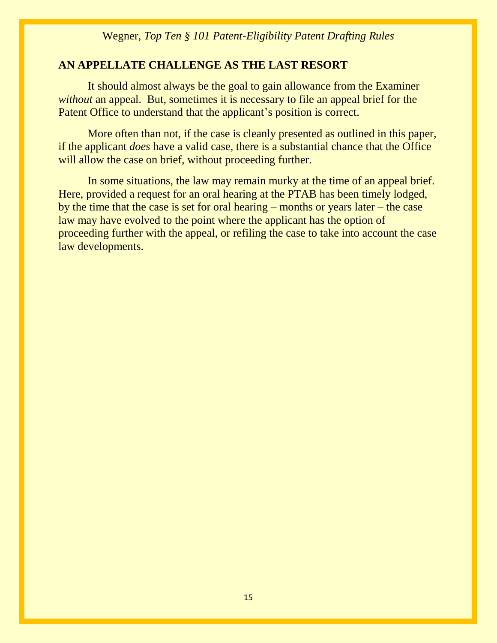# **AN APPELLATE CHALLENGE AS THE LAST RESORT**

It should almost always be the goal to gain allowance from the Examiner *without* an appeal. But, sometimes it is necessary to file an appeal brief for the Patent Office to understand that the applicant's position is correct.

More often than not, if the case is cleanly presented as outlined in this paper, if the applicant *does* have a valid case, there is a substantial chance that the Office will allow the case on brief, without proceeding further.

In some situations, the law may remain murky at the time of an appeal brief. Here, provided a request for an oral hearing at the PTAB has been timely lodged, by the time that the case is set for oral hearing – months or years later – the case law may have evolved to the point where the applicant has the option of proceeding further with the appeal, or refiling the case to take into account the case law developments.